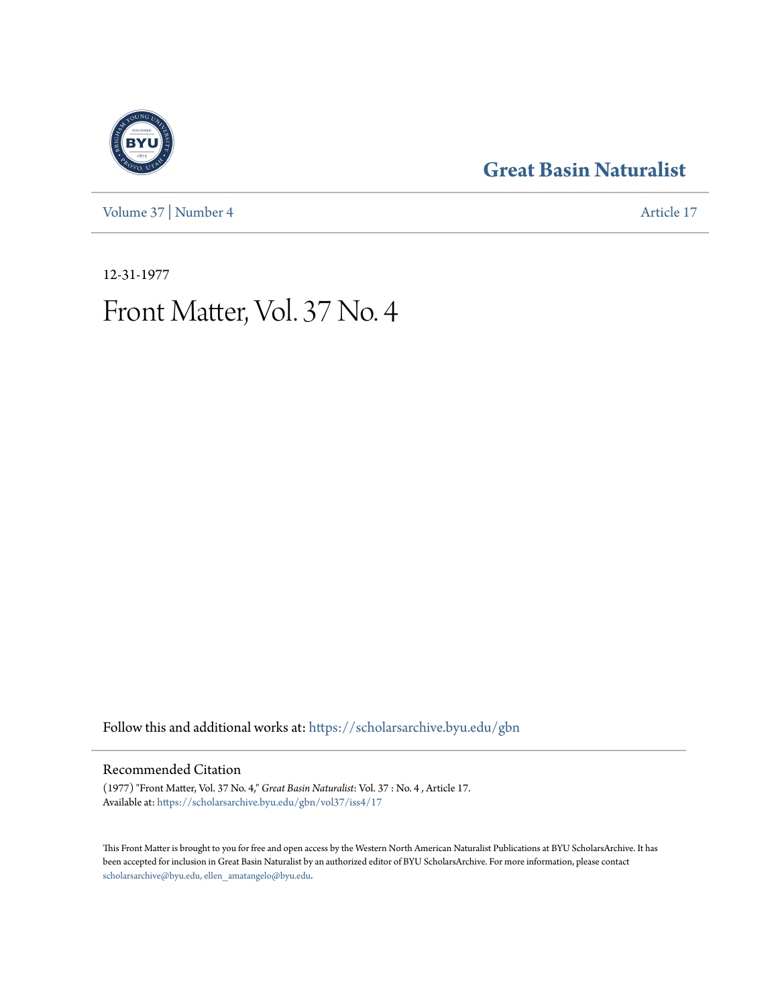[Volume 37](https://scholarsarchive.byu.edu/gbn/vol37?utm_source=scholarsarchive.byu.edu%2Fgbn%2Fvol37%2Fiss4%2F17&utm_medium=PDF&utm_campaign=PDFCoverPages) | [Number 4](https://scholarsarchive.byu.edu/gbn/vol37/iss4?utm_source=scholarsarchive.byu.edu%2Fgbn%2Fvol37%2Fiss4%2F17&utm_medium=PDF&utm_campaign=PDFCoverPages) [Article 17](https://scholarsarchive.byu.edu/gbn/vol37/iss4/17?utm_source=scholarsarchive.byu.edu%2Fgbn%2Fvol37%2Fiss4%2F17&utm_medium=PDF&utm_campaign=PDFCoverPages)

## **[Great Basin Naturalist](https://scholarsarchive.byu.edu/gbn?utm_source=scholarsarchive.byu.edu%2Fgbn%2Fvol37%2Fiss4%2F17&utm_medium=PDF&utm_campaign=PDFCoverPages)**

12-31-1977

# Front Matter, Vol. 37 No. 4

Follow this and additional works at: [https://scholarsarchive.byu.edu/gbn](https://scholarsarchive.byu.edu/gbn?utm_source=scholarsarchive.byu.edu%2Fgbn%2Fvol37%2Fiss4%2F17&utm_medium=PDF&utm_campaign=PDFCoverPages)

### Recommended Citation

(1977) "Front Matter, Vol. 37 No. 4," *Great Basin Naturalist*: Vol. 37 : No. 4 , Article 17. Available at: [https://scholarsarchive.byu.edu/gbn/vol37/iss4/17](https://scholarsarchive.byu.edu/gbn/vol37/iss4/17?utm_source=scholarsarchive.byu.edu%2Fgbn%2Fvol37%2Fiss4%2F17&utm_medium=PDF&utm_campaign=PDFCoverPages)

This Front Matter is brought to you for free and open access by the Western North American Naturalist Publications at BYU ScholarsArchive. It has been accepted for inclusion in Great Basin Naturalist by an authorized editor of BYU ScholarsArchive. For more information, please contact [scholarsarchive@byu.edu, ellen\\_amatangelo@byu.edu.](mailto:scholarsarchive@byu.edu,%20ellen_amatangelo@byu.edu)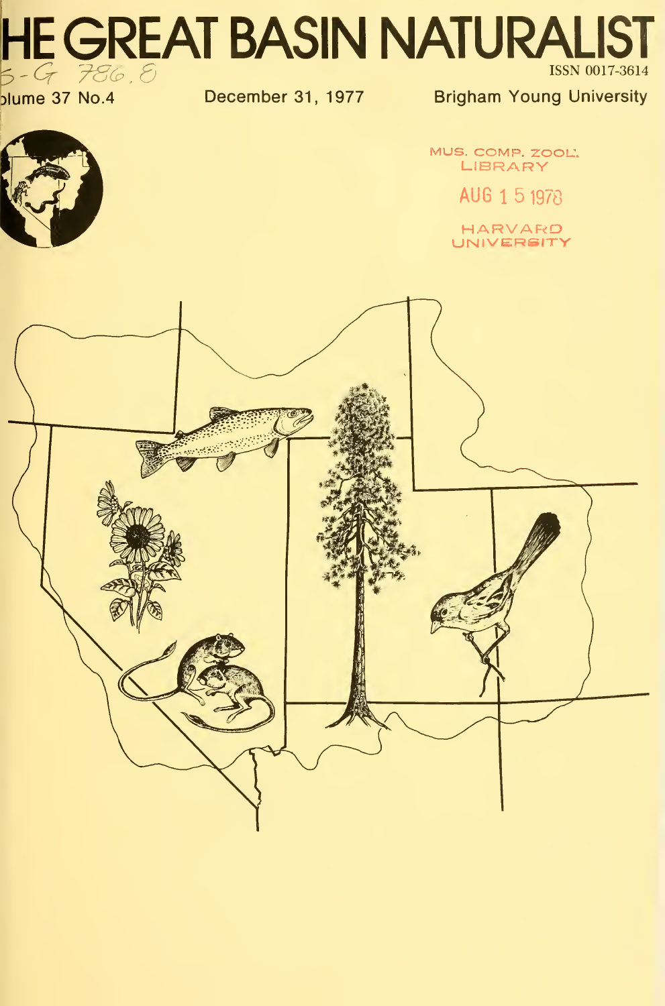